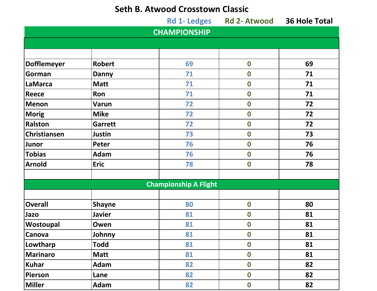## **Seth B. Atwood Crosstown Classic**

|                     |                | <b>Rd 1- Ledges</b>          | <b>Rd 2- Atwood</b> | <b>36 Hole Total</b> |
|---------------------|----------------|------------------------------|---------------------|----------------------|
|                     |                | <b>CHAMPIONSHIP</b>          |                     |                      |
|                     |                |                              |                     |                      |
|                     |                |                              |                     |                      |
| Dofflemeyer         | <b>Robert</b>  | 69                           | $\boldsymbol{0}$    | 69                   |
| Gorman              | <b>Danny</b>   | 71                           | $\boldsymbol{0}$    | 71                   |
| LaMarca             | <b>Matt</b>    | 71                           | $\boldsymbol{0}$    | 71                   |
| <b>Reece</b>        | Ron            | 71                           | $\boldsymbol{0}$    | 71                   |
| Menon               | <b>Varun</b>   | 72                           | $\boldsymbol{0}$    | 72                   |
| Morig               | <b>Mike</b>    | 72                           | $\boldsymbol{0}$    | 72                   |
| <b>Ralston</b>      | <b>Garrett</b> | 72                           | $\boldsymbol{0}$    | 72                   |
| <b>Christiansen</b> | <b>Justin</b>  | 73                           | $\boldsymbol{0}$    | 73                   |
| Junor               | <b>Peter</b>   | 76                           | $\boldsymbol{0}$    | 76                   |
| <b>Tobias</b>       | <b>Adam</b>    | 76                           | $\boldsymbol{0}$    | 76                   |
| <b>Arnold</b>       | <b>Eric</b>    | 78                           | $\boldsymbol{0}$    | 78                   |
|                     |                |                              |                     |                      |
|                     |                | <b>Championship A Flight</b> |                     |                      |
|                     |                |                              |                     |                      |
| <b>Overall</b>      | <b>Shayne</b>  | 80                           | $\boldsymbol{0}$    | 80                   |
| Jazo                | <b>Javier</b>  | 81                           | $\boldsymbol{0}$    | 81                   |
| Wostoupal           | Owen           | 81                           | $\boldsymbol{0}$    | 81                   |
| <b>Canova</b>       | Johnny         | 81                           | $\boldsymbol{0}$    | 81                   |
| Lowtharp            | <b>Todd</b>    | 81                           | $\boldsymbol{0}$    | 81                   |
| Marinaro            | <b>Matt</b>    | 81                           | $\boldsymbol{0}$    | 81                   |
| Kuhar               | Adam           | 82                           | $\boldsymbol{0}$    | 82                   |
| Pierson             | Lane           | 82                           | $\boldsymbol{0}$    | 82                   |
| Miller              | Adam           | 82                           | $\boldsymbol{0}$    | 82                   |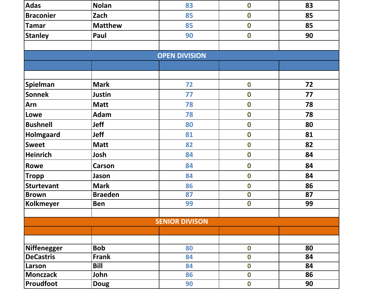| <b>Adas</b>        | <b>Nolan</b>   | 83                    | $\boldsymbol{0}$ | 83 |
|--------------------|----------------|-----------------------|------------------|----|
| <b>Braconier</b>   | Zach           | 85                    | $\boldsymbol{0}$ | 85 |
| <b>Tamar</b>       | <b>Matthew</b> | 85                    | $\boldsymbol{0}$ | 85 |
| <b>Stanley</b>     | Paul           | 90                    | $\boldsymbol{0}$ | 90 |
|                    |                |                       |                  |    |
|                    |                | <b>OPEN DIVISION</b>  |                  |    |
|                    |                |                       |                  |    |
|                    |                |                       |                  |    |
| Spielman           | <b>Mark</b>    | 72                    | $\boldsymbol{0}$ | 72 |
| <b>Sonnek</b>      | <b>Justin</b>  | 77                    | $\boldsymbol{0}$ | 77 |
| Arn                | <b>Matt</b>    | 78                    | $\boldsymbol{0}$ | 78 |
| Lowe               | <b>Adam</b>    | 78                    | $\boldsymbol{0}$ | 78 |
| <b>Bushnell</b>    | <b>Jeff</b>    | 80                    | $\boldsymbol{0}$ | 80 |
| <b>Holmgaard</b>   | <b>Jeff</b>    | 81                    | $\boldsymbol{0}$ | 81 |
| <b>Sweet</b>       | <b>Matt</b>    | 82                    | $\boldsymbol{0}$ | 82 |
| <b>Heinrich</b>    | Josh           | 84                    | $\boldsymbol{0}$ | 84 |
| Rowe               | <b>Carson</b>  | 84                    | $\boldsymbol{0}$ | 84 |
| <b>Tropp</b>       | Jason          | 84                    | $\boldsymbol{0}$ | 84 |
| <b>Sturtevant</b>  | <b>Mark</b>    | 86                    | $\boldsymbol{0}$ | 86 |
| <b>Brown</b>       | <b>Braeden</b> | 87                    | $\boldsymbol{0}$ | 87 |
| <b>Kolkmeyer</b>   | Ben            | 99                    | $\boldsymbol{0}$ | 99 |
|                    |                |                       |                  |    |
|                    |                | <b>SENIOR DIVISON</b> |                  |    |
|                    |                |                       |                  |    |
|                    |                |                       |                  |    |
| <b>Niffenegger</b> | <b>Bob</b>     | 80                    | $\boldsymbol{0}$ | 80 |
| <b>DeCastris</b>   | <b>Frank</b>   | 84                    | $\boldsymbol{0}$ | 84 |
| Larson             | Bill           | 84                    | $\boldsymbol{0}$ | 84 |
| <b>Monczack</b>    | John           | 86                    | $\boldsymbol{0}$ | 86 |
| Proudfoot          | <b>Doug</b>    | 90                    | $\boldsymbol{0}$ | 90 |